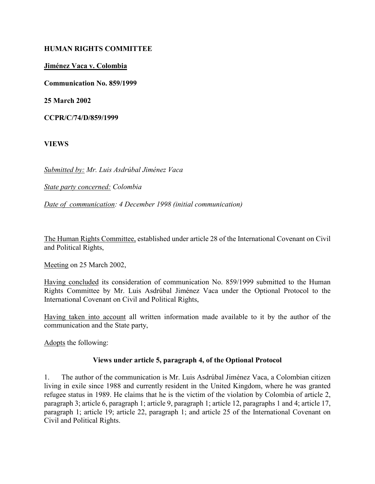#### HUMAN RIGHTS COMMITTEE

#### Jiménez Vaca v. Colombia

Communication No. 859/1999

25 March 2002

CCPR/C/74/D/859/1999

VIEWS

Submitted by: Mr. Luis Asdrúbal Jiménez Vaca

State party concerned: Colombia

Date of communication: 4 December 1998 (initial communication)

The Human Rights Committee, established under article 28 of the International Covenant on Civil and Political Rights,

Meeting on 25 March 2002,

Having concluded its consideration of communication No. 859/1999 submitted to the Human Rights Committee by Mr. Luis Asdrúbal Jiménez Vaca under the Optional Protocol to the International Covenant on Civil and Political Rights,

Having taken into account all written information made available to it by the author of the communication and the State party,

Adopts the following:

#### Views under article 5, paragraph 4, of the Optional Protocol

1. The author of the communication is Mr. Luis Asdrúbal Jiménez Vaca, a Colombian citizen living in exile since 1988 and currently resident in the United Kingdom, where he was granted refugee status in 1989. He claims that he is the victim of the violation by Colombia of article 2, paragraph 3; article 6, paragraph 1; article 9, paragraph 1; article 12, paragraphs 1 and 4; article 17, paragraph 1; article 19; article 22, paragraph 1; and article 25 of the International Covenant on Civil and Political Rights.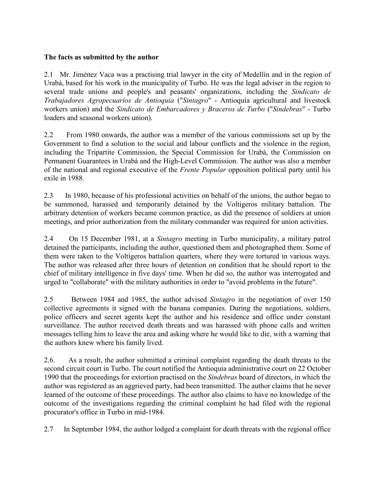## The facts as submitted by the author

2.1 Mr. Jiménez Vaca was a practising trial lawyer in the city of Medellín and in the region of Urabá, based for his work in the municipality of Turbo. He was the legal adviser in the region to several trade unions and people's and peasants' organizations, including the Sindicato de Trabajadores Agropecuarios de Antioquia ("Sintagro" - Antioquía agricultural and livestock workers union) and the Sindicato de Embarcadores y Braceros de Turbo ("Sindebras" - Turbo loaders and seasonal workers union).

2.2 From 1980 onwards, the author was a member of the various commissions set up by the Government to find a solution to the social and labour conflicts and the violence in the region, including the Tripartite Commission, the Special Commission for Urabá, the Commission on Permanent Guarantees in Urabá and the High-Level Commission. The author was also a member of the national and regional executive of the Frente Popular opposition political party until his exile in 1988.

2.3 In 1980, because of his professional activities on behalf of the unions, the author began to be summoned, harassed and temporarily detained by the Voltígeros military battalion. The arbitrary detention of workers became common practice, as did the presence of soldiers at union meetings, and prior authorization from the military commander was required for union activities.

2.4 On 15 December 1981, at a Sintagro meeting in Turbo municipality, a military patrol detained the participants, including the author, questioned them and photographed them. Some of them were taken to the Voltígeros battalion quarters, where they were tortured in various ways. The author was released after three hours of detention on condition that he should report to the chief of military intelligence in five days' time. When he did so, the author was interrogated and urged to "collaborate" with the military authorities in order to "avoid problems in the future".

2.5 Between 1984 and 1985, the author advised Sintagro in the negotiation of over 150 collective agreements it signed with the banana companies. During the negotiations, soldiers, police officers and secret agents kept the author and his residence and office under constant surveillance. The author received death threats and was harassed with phone calls and written messages telling him to leave the area and asking where he would like to die, with a warning that the authors knew where his family lived.

2.6. As a result, the author submitted a criminal complaint regarding the death threats to the second circuit court in Turbo. The court notified the Antioquia administrative court on 22 October 1990 that the proceedings for extortion practised on the Sindebras board of directors, in which the author was registered as an aggrieved party, had been transmitted. The author claims that he never learned of the outcome of these proceedings. The author also claims to have no knowledge of the outcome of the investigations regarding the criminal complaint he had filed with the regional procurator's office in Turbo in mid-1984.

2.7 In September 1984, the author lodged a complaint for death threats with the regional office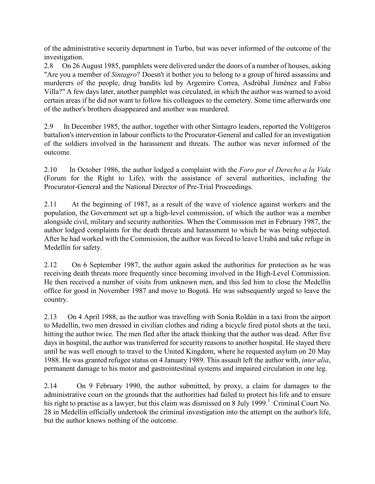of the administrative security department in Turbo, but was never informed of the outcome of the investigation.

2.8 On 26 August 1985, pamphlets were delivered under the doors of a number of houses, asking "Are you a member of *Sintagro*? Doesn't it bother you to belong to a group of hired assassins and murderers of the people, drug bandits led by Argemiro Correa, Asdrúbal Jiménez and Fabio Villa?" A few days later, another pamphlet was circulated, in which the author was warned to avoid certain areas if he did not want to follow his colleagues to the cemetery. Some time afterwards one of the author's brothers disappeared and another was murdered.

2.9 In December 1985, the author, together with other Sintagro leaders, reported the Voltígeros battalion's intervention in labour conflicts to the Procurator-General and called for an investigation of the soldiers involved in the harassment and threats. The author was never informed of the outcome.

2.10 In October 1986, the author lodged a complaint with the Foro por el Derecho a la Vida (Forum for the Right to Life), with the assistance of several authorities, including the Procurator-General and the National Director of Pre-Trial Proceedings.

2.11 At the beginning of 1987, as a result of the wave of violence against workers and the population, the Government set up a high-level commission, of which the author was a member alongside civil, military and security authorities. When the Commission met in February 1987, the author lodged complaints for the death threats and harassment to which he was being subjected. After he had worked with the Commission, the author was forced to leave Urabá and take refuge in Medellín for safety.

2.12 On 6 September 1987, the author again asked the authorities for protection as he was receiving death threats more frequently since becoming involved in the High-Level Commission. He then received a number of visits from unknown men, and this led him to close the Medellín office for good in November 1987 and move to Bogotá. He was subsequently urged to leave the country.

2.13 On 4 April 1988, as the author was travelling with Sonia Roldán in a taxi from the airport to Medellín, two men dressed in civilian clothes and riding a bicycle fired pistol shots at the taxi, hitting the author twice. The men fled after the attack thinking that the author was dead. After five days in hospital, the author was transferred for security reasons to another hospital. He stayed there until he was well enough to travel to the United Kingdom, where he requested asylum on 20 May 1988. He was granted refugee status on 4 January 1989. This assault left the author with, inter alia, permanent damage to his motor and gastrointestinal systems and impaired circulation in one leg.

2.14 On 9 February 1990, the author submitted, by proxy, a claim for damages to the administrative court on the grounds that the authorities had failed to protect his life and to ensure his right to practise as a lawyer, but this claim was dismissed on 8 July 1999.<sup>1</sup> Criminal Court No. 28 in Medellín officially undertook the criminal investigation into the attempt on the author's life, but the author knows nothing of the outcome.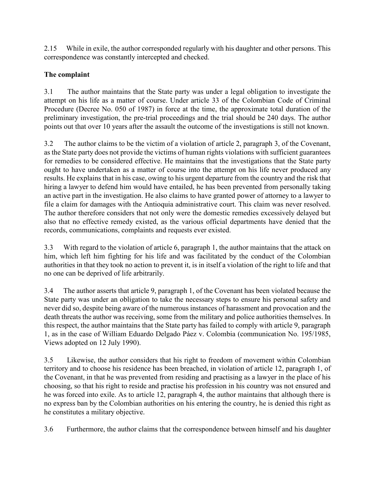2.15 While in exile, the author corresponded regularly with his daughter and other persons. This correspondence was constantly intercepted and checked.

# The complaint

3.1 The author maintains that the State party was under a legal obligation to investigate the attempt on his life as a matter of course. Under article 33 of the Colombian Code of Criminal Procedure (Decree No. 050 of 1987) in force at the time, the approximate total duration of the preliminary investigation, the pre-trial proceedings and the trial should be 240 days. The author points out that over 10 years after the assault the outcome of the investigations is still not known.

3.2 The author claims to be the victim of a violation of article 2, paragraph 3, of the Covenant, as the State party does not provide the victims of human rights violations with sufficient guarantees for remedies to be considered effective. He maintains that the investigations that the State party ought to have undertaken as a matter of course into the attempt on his life never produced any results. He explains that in his case, owing to his urgent departure from the country and the risk that hiring a lawyer to defend him would have entailed, he has been prevented from personally taking an active part in the investigation. He also claims to have granted power of attorney to a lawyer to file a claim for damages with the Antioquia administrative court. This claim was never resolved. The author therefore considers that not only were the domestic remedies excessively delayed but also that no effective remedy existed, as the various official departments have denied that the records, communications, complaints and requests ever existed.

3.3 With regard to the violation of article 6, paragraph 1, the author maintains that the attack on him, which left him fighting for his life and was facilitated by the conduct of the Colombian authorities in that they took no action to prevent it, is in itself a violation of the right to life and that no one can be deprived of life arbitrarily.

3.4 The author asserts that article 9, paragraph 1, of the Covenant has been violated because the State party was under an obligation to take the necessary steps to ensure his personal safety and never did so, despite being aware of the numerous instances of harassment and provocation and the death threats the author was receiving, some from the military and police authorities themselves. In this respect, the author maintains that the State party has failed to comply with article 9, paragraph 1, as in the case of William Eduardo Delgado Páez v. Colombia (communication No. 195/1985, Views adopted on 12 July 1990).

3.5 Likewise, the author considers that his right to freedom of movement within Colombian territory and to choose his residence has been breached, in violation of article 12, paragraph 1, of the Covenant, in that he was prevented from residing and practising as a lawyer in the place of his choosing, so that his right to reside and practise his profession in his country was not ensured and he was forced into exile. As to article 12, paragraph 4, the author maintains that although there is no express ban by the Colombian authorities on his entering the country, he is denied this right as he constitutes a military objective.

3.6 Furthermore, the author claims that the correspondence between himself and his daughter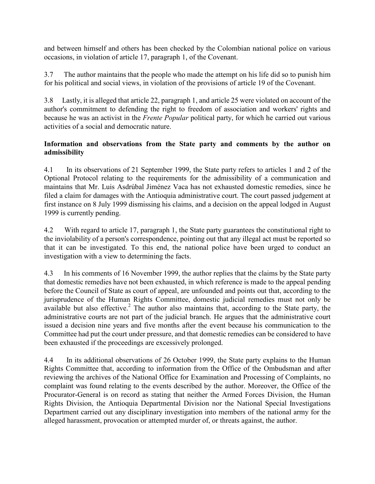and between himself and others has been checked by the Colombian national police on various occasions, in violation of article 17, paragraph 1, of the Covenant.

3.7 The author maintains that the people who made the attempt on his life did so to punish him for his political and social views, in violation of the provisions of article 19 of the Covenant.

3.8 Lastly, it is alleged that article 22, paragraph 1, and article 25 were violated on account of the author's commitment to defending the right to freedom of association and workers' rights and because he was an activist in the Frente Popular political party, for which he carried out various activities of a social and democratic nature.

## Information and observations from the State party and comments by the author on admissibility

4.1 In its observations of 21 September 1999, the State party refers to articles 1 and 2 of the Optional Protocol relating to the requirements for the admissibility of a communication and maintains that Mr. Luis Asdrúbal Jiménez Vaca has not exhausted domestic remedies, since he filed a claim for damages with the Antioquia administrative court. The court passed judgement at first instance on 8 July 1999 dismissing his claims, and a decision on the appeal lodged in August 1999 is currently pending.

4.2 With regard to article 17, paragraph 1, the State party guarantees the constitutional right to the inviolability of a person's correspondence, pointing out that any illegal act must be reported so that it can be investigated. To this end, the national police have been urged to conduct an investigation with a view to determining the facts.

4.3 In his comments of 16 November 1999, the author replies that the claims by the State party that domestic remedies have not been exhausted, in which reference is made to the appeal pending before the Council of State as court of appeal, are unfounded and points out that, according to the jurisprudence of the Human Rights Committee, domestic judicial remedies must not only be available but also effective.<sup>2</sup> The author also maintains that, according to the State party, the administrative courts are not part of the judicial branch. He argues that the administrative court issued a decision nine years and five months after the event because his communication to the Committee had put the court under pressure, and that domestic remedies can be considered to have been exhausted if the proceedings are excessively prolonged.

4.4 In its additional observations of 26 October 1999, the State party explains to the Human Rights Committee that, according to information from the Office of the Ombudsman and after reviewing the archives of the National Office for Examination and Processing of Complaints, no complaint was found relating to the events described by the author. Moreover, the Office of the Procurator-General is on record as stating that neither the Armed Forces Division, the Human Rights Division, the Antioquia Departmental Division nor the National Special Investigations Department carried out any disciplinary investigation into members of the national army for the alleged harassment, provocation or attempted murder of, or threats against, the author.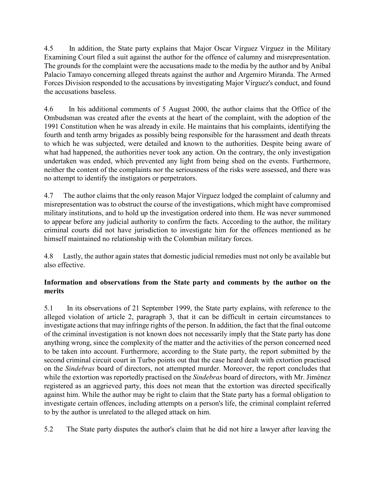4.5 In addition, the State party explains that Major Oscar Vírguez Vírguez in the Military Examining Court filed a suit against the author for the offence of calumny and misrepresentation. The grounds for the complaint were the accusations made to the media by the author and by Aníbal Palacio Tamayo concerning alleged threats against the author and Argemiro Miranda. The Armed Forces Division responded to the accusations by investigating Major Vírguez's conduct, and found the accusations baseless.

4.6 In his additional comments of 5 August 2000, the author claims that the Office of the Ombudsman was created after the events at the heart of the complaint, with the adoption of the 1991 Constitution when he was already in exile. He maintains that his complaints, identifying the fourth and tenth army brigades as possibly being responsible for the harassment and death threats to which he was subjected, were detailed and known to the authorities. Despite being aware of what had happened, the authorities never took any action. On the contrary, the only investigation undertaken was ended, which prevented any light from being shed on the events. Furthermore, neither the content of the complaints nor the seriousness of the risks were assessed, and there was no attempt to identify the instigators or perpetrators.

4.7 The author claims that the only reason Major Vírguez lodged the complaint of calumny and misrepresentation was to obstruct the course of the investigations, which might have compromised military institutions, and to hold up the investigation ordered into them. He was never summoned to appear before any judicial authority to confirm the facts. According to the author, the military criminal courts did not have jurisdiction to investigate him for the offences mentioned as he himself maintained no relationship with the Colombian military forces.

4.8 Lastly, the author again states that domestic judicial remedies must not only be available but also effective.

# Information and observations from the State party and comments by the author on the merits

5.1 In its observations of 21 September 1999, the State party explains, with reference to the alleged violation of article 2, paragraph 3, that it can be difficult in certain circumstances to investigate actions that may infringe rights of the person. In addition, the fact that the final outcome of the criminal investigation is not known does not necessarily imply that the State party has done anything wrong, since the complexity of the matter and the activities of the person concerned need to be taken into account. Furthermore, according to the State party, the report submitted by the second criminal circuit court in Turbo points out that the case heard dealt with extortion practised on the Sindebras board of directors, not attempted murder. Moreover, the report concludes that while the extortion was reportedly practised on the Sindebras board of directors, with Mr. Jiménez registered as an aggrieved party, this does not mean that the extortion was directed specifically against him. While the author may be right to claim that the State party has a formal obligation to investigate certain offences, including attempts on a person's life, the criminal complaint referred to by the author is unrelated to the alleged attack on him.

5.2 The State party disputes the author's claim that he did not hire a lawyer after leaving the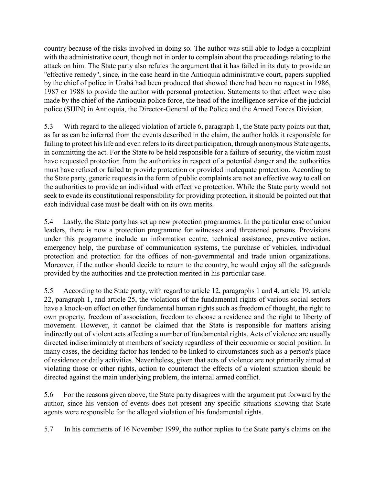country because of the risks involved in doing so. The author was still able to lodge a complaint with the administrative court, though not in order to complain about the proceedings relating to the attack on him. The State party also refutes the argument that it has failed in its duty to provide an "effective remedy", since, in the case heard in the Antioquia administrative court, papers supplied by the chief of police in Urabá had been produced that showed there had been no request in 1986, 1987 or 1988 to provide the author with personal protection. Statements to that effect were also made by the chief of the Antioquia police force, the head of the intelligence service of the judicial police (SIJIN) in Antioquia, the Director-General of the Police and the Armed Forces Division.

5.3 With regard to the alleged violation of article 6, paragraph 1, the State party points out that, as far as can be inferred from the events described in the claim, the author holds it responsible for failing to protect his life and even refers to its direct participation, through anonymous State agents, in committing the act. For the State to be held responsible for a failure of security, the victim must have requested protection from the authorities in respect of a potential danger and the authorities must have refused or failed to provide protection or provided inadequate protection. According to the State party, generic requests in the form of public complaints are not an effective way to call on the authorities to provide an individual with effective protection. While the State party would not seek to evade its constitutional responsibility for providing protection, it should be pointed out that each individual case must be dealt with on its own merits.

5.4 Lastly, the State party has set up new protection programmes. In the particular case of union leaders, there is now a protection programme for witnesses and threatened persons. Provisions under this programme include an information centre, technical assistance, preventive action, emergency help, the purchase of communication systems, the purchase of vehicles, individual protection and protection for the offices of non-governmental and trade union organizations. Moreover, if the author should decide to return to the country, he would enjoy all the safeguards provided by the authorities and the protection merited in his particular case.

5.5 According to the State party, with regard to article 12, paragraphs 1 and 4, article 19, article 22, paragraph 1, and article 25, the violations of the fundamental rights of various social sectors have a knock-on effect on other fundamental human rights such as freedom of thought, the right to own property, freedom of association, freedom to choose a residence and the right to liberty of movement. However, it cannot be claimed that the State is responsible for matters arising indirectly out of violent acts affecting a number of fundamental rights. Acts of violence are usually directed indiscriminately at members of society regardless of their economic or social position. In many cases, the deciding factor has tended to be linked to circumstances such as a person's place of residence or daily activities. Nevertheless, given that acts of violence are not primarily aimed at violating those or other rights, action to counteract the effects of a violent situation should be directed against the main underlying problem, the internal armed conflict.

5.6 For the reasons given above, the State party disagrees with the argument put forward by the author, since his version of events does not present any specific situations showing that State agents were responsible for the alleged violation of his fundamental rights.

5.7 In his comments of 16 November 1999, the author replies to the State party's claims on the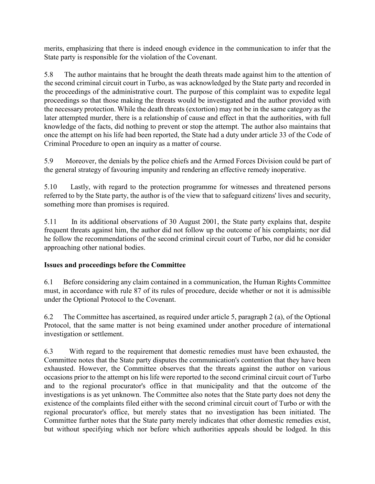merits, emphasizing that there is indeed enough evidence in the communication to infer that the State party is responsible for the violation of the Covenant.

5.8 The author maintains that he brought the death threats made against him to the attention of the second criminal circuit court in Turbo, as was acknowledged by the State party and recorded in the proceedings of the administrative court. The purpose of this complaint was to expedite legal proceedings so that those making the threats would be investigated and the author provided with the necessary protection. While the death threats (extortion) may not be in the same category as the later attempted murder, there is a relationship of cause and effect in that the authorities, with full knowledge of the facts, did nothing to prevent or stop the attempt. The author also maintains that once the attempt on his life had been reported, the State had a duty under article 33 of the Code of Criminal Procedure to open an inquiry as a matter of course.

5.9 Moreover, the denials by the police chiefs and the Armed Forces Division could be part of the general strategy of favouring impunity and rendering an effective remedy inoperative.

5.10 Lastly, with regard to the protection programme for witnesses and threatened persons referred to by the State party, the author is of the view that to safeguard citizens' lives and security, something more than promises is required.

5.11 In its additional observations of 30 August 2001, the State party explains that, despite frequent threats against him, the author did not follow up the outcome of his complaints; nor did he follow the recommendations of the second criminal circuit court of Turbo, nor did he consider approaching other national bodies.

# Issues and proceedings before the Committee

6.1 Before considering any claim contained in a communication, the Human Rights Committee must, in accordance with rule 87 of its rules of procedure, decide whether or not it is admissible under the Optional Protocol to the Covenant.

6.2 The Committee has ascertained, as required under article 5, paragraph 2 (a), of the Optional Protocol, that the same matter is not being examined under another procedure of international investigation or settlement.

6.3 With regard to the requirement that domestic remedies must have been exhausted, the Committee notes that the State party disputes the communication's contention that they have been exhausted. However, the Committee observes that the threats against the author on various occasions prior to the attempt on his life were reported to the second criminal circuit court of Turbo and to the regional procurator's office in that municipality and that the outcome of the investigations is as yet unknown. The Committee also notes that the State party does not deny the existence of the complaints filed either with the second criminal circuit court of Turbo or with the regional procurator's office, but merely states that no investigation has been initiated. The Committee further notes that the State party merely indicates that other domestic remedies exist, but without specifying which nor before which authorities appeals should be lodged. In this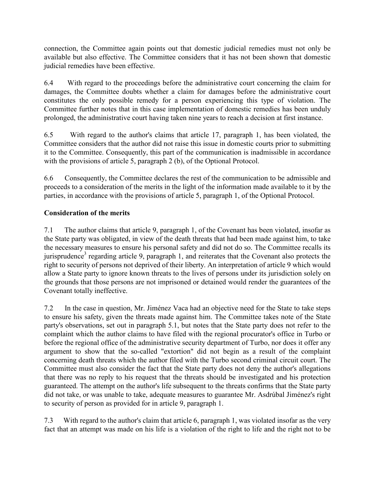connection, the Committee again points out that domestic judicial remedies must not only be available but also effective. The Committee considers that it has not been shown that domestic judicial remedies have been effective.

6.4 With regard to the proceedings before the administrative court concerning the claim for damages, the Committee doubts whether a claim for damages before the administrative court constitutes the only possible remedy for a person experiencing this type of violation. The Committee further notes that in this case implementation of domestic remedies has been unduly prolonged, the administrative court having taken nine years to reach a decision at first instance.

6.5 With regard to the author's claims that article 17, paragraph 1, has been violated, the Committee considers that the author did not raise this issue in domestic courts prior to submitting it to the Committee. Consequently, this part of the communication is inadmissible in accordance with the provisions of article 5, paragraph 2 (b), of the Optional Protocol.

6.6 Consequently, the Committee declares the rest of the communication to be admissible and proceeds to a consideration of the merits in the light of the information made available to it by the parties, in accordance with the provisions of article 5, paragraph 1, of the Optional Protocol.

# Consideration of the merits

7.1 The author claims that article 9, paragraph 1, of the Covenant has been violated, insofar as the State party was obligated, in view of the death threats that had been made against him, to take the necessary measures to ensure his personal safety and did not do so. The Committee recalls its jurisprudence<sup>3</sup> regarding article 9, paragraph 1, and reiterates that the Covenant also protects the right to security of persons not deprived of their liberty. An interpretation of article 9 which would allow a State party to ignore known threats to the lives of persons under its jurisdiction solely on the grounds that those persons are not imprisoned or detained would render the guarantees of the Covenant totally ineffective.

7.2 In the case in question, Mr. Jiménez Vaca had an objective need for the State to take steps to ensure his safety, given the threats made against him. The Committee takes note of the State party's observations, set out in paragraph 5.1, but notes that the State party does not refer to the complaint which the author claims to have filed with the regional procurator's office in Turbo or before the regional office of the administrative security department of Turbo, nor does it offer any argument to show that the so-called "extortion" did not begin as a result of the complaint concerning death threats which the author filed with the Turbo second criminal circuit court. The Committee must also consider the fact that the State party does not deny the author's allegations that there was no reply to his request that the threats should be investigated and his protection guaranteed. The attempt on the author's life subsequent to the threats confirms that the State party did not take, or was unable to take, adequate measures to guarantee Mr. Asdrúbal Jiménez's right to security of person as provided for in article 9, paragraph 1.

7.3 With regard to the author's claim that article 6, paragraph 1, was violated insofar as the very fact that an attempt was made on his life is a violation of the right to life and the right not to be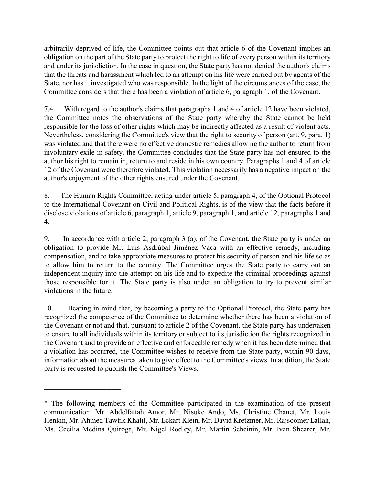arbitrarily deprived of life, the Committee points out that article 6 of the Covenant implies an obligation on the part of the State party to protect the right to life of every person within its territory and under its jurisdiction. In the case in question, the State party has not denied the author's claims that the threats and harassment which led to an attempt on his life were carried out by agents of the State, nor has it investigated who was responsible. In the light of the circumstances of the case, the Committee considers that there has been a violation of article 6, paragraph 1, of the Covenant.

7.4 With regard to the author's claims that paragraphs 1 and 4 of article 12 have been violated, the Committee notes the observations of the State party whereby the State cannot be held responsible for the loss of other rights which may be indirectly affected as a result of violent acts. Nevertheless, considering the Committee's view that the right to security of person (art. 9, para. 1) was violated and that there were no effective domestic remedies allowing the author to return from involuntary exile in safety, the Committee concludes that the State party has not ensured to the author his right to remain in, return to and reside in his own country. Paragraphs 1 and 4 of article 12 of the Covenant were therefore violated. This violation necessarily has a negative impact on the author's enjoyment of the other rights ensured under the Covenant.

8. The Human Rights Committee, acting under article 5, paragraph 4, of the Optional Protocol to the International Covenant on Civil and Political Rights, is of the view that the facts before it disclose violations of article 6, paragraph 1, article 9, paragraph 1, and article 12, paragraphs 1 and 4.

9. In accordance with article 2, paragraph 3 (a), of the Covenant, the State party is under an obligation to provide Mr. Luis Asdrúbal Jiménez Vaca with an effective remedy, including compensation, and to take appropriate measures to protect his security of person and his life so as to allow him to return to the country. The Committee urges the State party to carry out an independent inquiry into the attempt on his life and to expedite the criminal proceedings against those responsible for it. The State party is also under an obligation to try to prevent similar violations in the future.

10. Bearing in mind that, by becoming a party to the Optional Protocol, the State party has recognized the competence of the Committee to determine whether there has been a violation of the Covenant or not and that, pursuant to article 2 of the Covenant, the State party has undertaken to ensure to all individuals within its territory or subject to its jurisdiction the rights recognized in the Covenant and to provide an effective and enforceable remedy when it has been determined that a violation has occurred, the Committee wishes to receive from the State party, within 90 days, information about the measures taken to give effect to the Committee's views. In addition, the State party is requested to publish the Committee's Views.

 $\overline{\phantom{a}}$  , and the set of the set of the set of the set of the set of the set of the set of the set of the set of the set of the set of the set of the set of the set of the set of the set of the set of the set of the s

<sup>\*</sup> The following members of the Committee participated in the examination of the present communication: Mr. Abdelfattah Amor, Mr. Nisuke Ando, Ms. Christine Chanet, Mr. Louis Henkin, Mr. Ahmed Tawfik Khalil, Mr. Eckart Klein, Mr. David Kretzmer, Mr. Rajsoomer Lallah, Ms. Cecilia Medina Quiroga, Mr. Nigel Rodley, Mr. Martin Scheinin, Mr. Ivan Shearer, Mr.